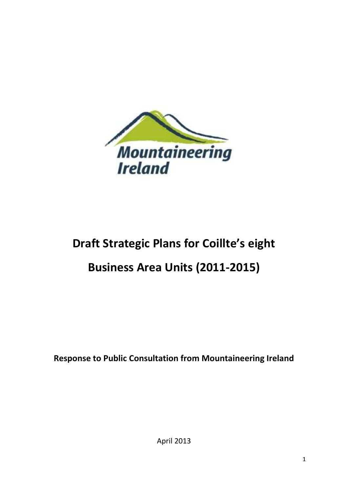

# **Draft Strategic Plans for Coillte's eight**

# **Business Area Units (2011-2015)**

**Response to Public Consultation from Mountaineering Ireland**

April 2013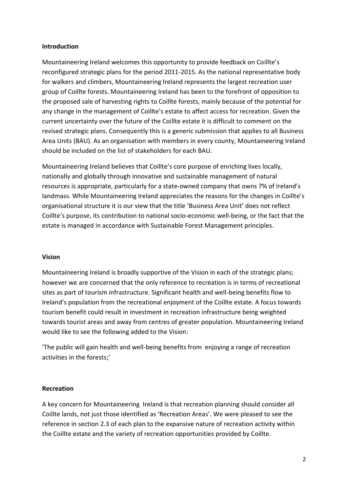#### **Introduction**

Mountaineering Ireland welcomes this opportunity to provide feedback on Coillte's reconfigured strategic plans for the period 2011-2015. As the national representative body for walkers and climbers, Mountaineering Ireland represents the largest recreation user group of Coillte forests. Mountaineering Ireland has been to the forefront of opposition to the proposed sale of harvesting rights to Coillte forests, mainly because of the potential for any change in the management of Coillte's estate to affect access for recreation. Given the current uncertainty over the future of the Coillte estate it is difficult to comment on the revised strategic plans. Consequently this is a generic submission that applies to all Business Area Units (BAU). As an organisation with members in every county, Mountaineering Ireland should be included on the list of stakeholders for each BAU.

Mountaineering Ireland believes that Coillte's core purpose of enriching lives locally, nationally and globally through innovative and sustainable management of natural resources is appropriate, particularly for a state-owned company that owns 7% of Ireland's landmass. While Mountaineering Ireland appreciates the reasons for the changes in Coillte's organisational structure it is our view that the title 'Business Area Unit' does not reflect Coillte's purpose, its contribution to national socio-economic well-being, or the fact that the estate is managed in accordance with Sustainable Forest Management principles.

#### **Vision**

Mountaineering Ireland is broadly supportive of the Vision in each of the strategic plans; however we are concerned that the only reference to recreation is in terms of recreational sites as part of tourism infrastructure. Significant health and well-being benefits flow to Ireland's population from the recreational enjoyment of the Coillte estate. A focus towards tourism benefit could result in investment in recreation infrastructure being weighted towards tourist areas and away from centres of greater population. Mountaineering Ireland would like to see the following added to the Vision:

'The public will gain health and well-being benefits from enjoying a range of recreation activities in the forests;'

# **Recreation**

A key concern for Mountaineering Ireland is that recreation planning should consider all Coillte lands, not just those identified as 'Recreation Areas'. We were pleased to see the reference in section 2.3 of each plan to the expansive nature of recreation activity within the Coillte estate and the variety of recreation opportunities provided by Coillte.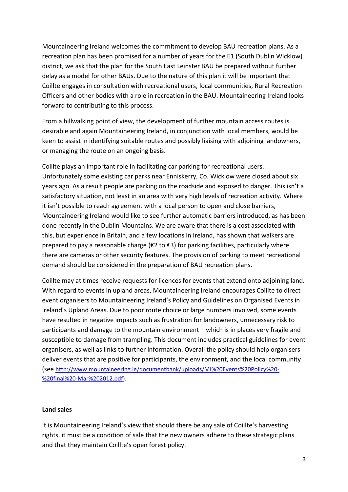Mountaineering Ireland welcomes the commitment to develop BAU recreation plans. As a recreation plan has been promised for a number of years for the E1 (South Dublin Wicklow) district, we ask that the plan for the South East Leinster BAU be prepared without further delay as a model for other BAUs. Due to the nature of this plan it will be important that Coillte engages in consultation with recreational users, local communities, Rural Recreation Officers and other bodies with a role in recreation in the BAU. Mountaineering Ireland looks forward to contributing to this process.

From a hillwalking point of view, the development of further mountain access routes is desirable and again Mountaineering Ireland, in conjunction with local members, would be keen to assist in identifying suitable routes and possibly liaising with adjoining landowners, or managing the route on an ongoing basis.

Coillte plays an important role in facilitating car parking for recreational users. Unfortunately some existing car parks near Enniskerry, Co. Wicklow were closed about six years ago. As a result people are parking on the roadside and exposed to danger. This isn't a satisfactory situation, not least in an area with very high levels of recreation activity. Where it isn't possible to reach agreement with a local person to open and close barriers, Mountaineering Ireland would like to see further automatic barriers introduced, as has been done recently in the Dublin Mountains. We are aware that there is a cost associated with this, but experience in Britain, and a few locations in Ireland, has shown that walkers are prepared to pay a reasonable charge ( $\epsilon$ 2 to  $\epsilon$ 3) for parking facilities, particularly where there are cameras or other security features. The provision of parking to meet recreational demand should be considered in the preparation of BAU recreation plans.

Coillte may at times receive requests for licences for events that extend onto adjoining land. With regard to events in upland areas, Mountaineering Ireland encourages Coillte to direct event organisers to Mountaineering Ireland's Policy and Guidelines on Organised Events in Ireland's Upland Areas. Due to poor route choice or large numbers involved, some events have resulted in negative impacts such as frustration for landowners, unnecessary risk to participants and damage to the mountain environment – which is in places very fragile and susceptible to damage from trampling. This document includes practical guidelines for event organisers, as well as links to further information. Overall the policy should help organisers deliver events that are positive for participants, the environment, and the local community (see [http://www.mountaineering.ie/documentbank/uploads/MI%20Events%20Policy%20-](http://www.mountaineering.ie/documentbank/uploads/MI%20Events%20Policy%20-%20final%20-Mar%202012.pdf) [%20final%20-Mar%202012.pdf\)](http://www.mountaineering.ie/documentbank/uploads/MI%20Events%20Policy%20-%20final%20-Mar%202012.pdf).

#### **Land sales**

It is Mountaineering Ireland's view that should there be any sale of Coillte's harvesting rights, it must be a condition of sale that the new owners adhere to these strategic plans and that they maintain Coillte's open forest policy.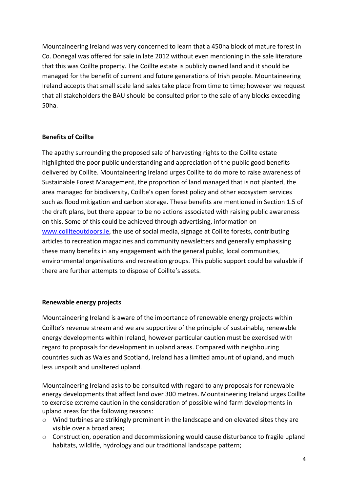Mountaineering Ireland was very concerned to learn that a 450ha block of mature forest in Co. Donegal was offered for sale in late 2012 without even mentioning in the sale literature that this was Coillte property. The Coillte estate is publicly owned land and it should be managed for the benefit of current and future generations of Irish people. Mountaineering Ireland accepts that small scale land sales take place from time to time; however we request that all stakeholders the BAU should be consulted prior to the sale of any blocks exceeding 50ha.

#### **Benefits of Coillte**

The apathy surrounding the proposed sale of harvesting rights to the Coillte estate highlighted the poor public understanding and appreciation of the public good benefits delivered by Coillte. Mountaineering Ireland urges Coillte to do more to raise awareness of Sustainable Forest Management, the proportion of land managed that is not planted, the area managed for biodiversity, Coillte's open forest policy and other ecosystem services such as flood mitigation and carbon storage. These benefits are mentioned in Section 1.5 of the draft plans, but there appear to be no actions associated with raising public awareness on this. Some of this could be achieved through advertising, information on [www.coillteoutdoors.ie,](http://www.coillteoutdoors.ie/) the use of social media, signage at Coillte forests, contributing articles to recreation magazines and community newsletters and generally emphasising these many benefits in any engagement with the general public, local communities, environmental organisations and recreation groups. This public support could be valuable if there are further attempts to dispose of Coillte's assets.

#### **Renewable energy projects**

Mountaineering Ireland is aware of the importance of renewable energy projects within Coillte's revenue stream and we are supportive of the principle of sustainable, renewable energy developments within Ireland, however particular caution must be exercised with regard to proposals for development in upland areas. Compared with neighbouring countries such as Wales and Scotland, Ireland has a limited amount of upland, and much less unspoilt and unaltered upland.

Mountaineering Ireland asks to be consulted with regard to any proposals for renewable energy developments that affect land over 300 metres. Mountaineering Ireland urges Coillte to exercise extreme caution in the consideration of possible wind farm developments in upland areas for the following reasons:

- $\circ$  Wind turbines are strikingly prominent in the landscape and on elevated sites they are visible over a broad area;
- $\circ$  Construction, operation and decommissioning would cause disturbance to fragile upland habitats, wildlife, hydrology and our traditional landscape pattern;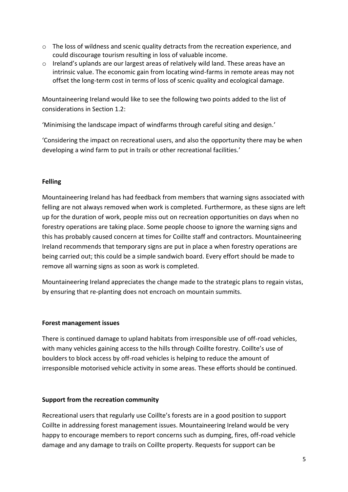- o The loss of wildness and scenic quality detracts from the recreation experience, and could discourage tourism resulting in loss of valuable income.
- $\circ$  Ireland's uplands are our largest areas of relatively wild land. These areas have an intrinsic value. The economic gain from locating wind-farms in remote areas may not offset the long-term cost in terms of loss of scenic quality and ecological damage.

Mountaineering Ireland would like to see the following two points added to the list of considerations in Section 1.2:

'Minimising the landscape impact of windfarms through careful siting and design.'

'Considering the impact on recreational users, and also the opportunity there may be when developing a wind farm to put in trails or other recreational facilities.'

#### **Felling**

Mountaineering Ireland has had feedback from members that warning signs associated with felling are not always removed when work is completed. Furthermore, as these signs are left up for the duration of work, people miss out on recreation opportunities on days when no forestry operations are taking place. Some people choose to ignore the warning signs and this has probably caused concern at times for Coillte staff and contractors. Mountaineering Ireland recommends that temporary signs are put in place a when forestry operations are being carried out; this could be a simple sandwich board. Every effort should be made to remove all warning signs as soon as work is completed.

Mountaineering Ireland appreciates the change made to the strategic plans to regain vistas, by ensuring that re-planting does not encroach on mountain summits.

#### **Forest management issues**

There is continued damage to upland habitats from irresponsible use of off-road vehicles, with many vehicles gaining access to the hills through Coillte forestry. Coillte's use of boulders to block access by off-road vehicles is helping to reduce the amount of irresponsible motorised vehicle activity in some areas. These efforts should be continued.

# **Support from the recreation community**

Recreational users that regularly use Coillte's forests are in a good position to support Coillte in addressing forest management issues. Mountaineering Ireland would be very happy to encourage members to report concerns such as dumping, fires, off-road vehicle damage and any damage to trails on Coillte property. Requests for support can be